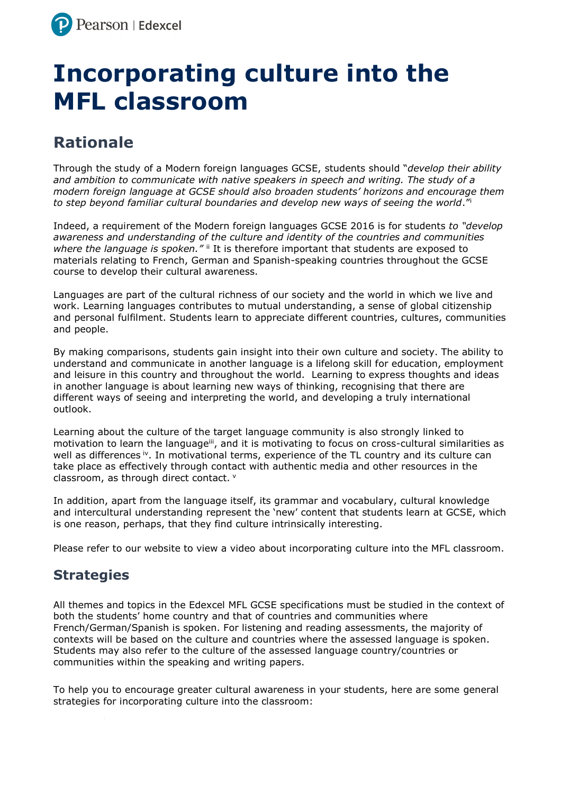## **Incorporating culture into the MFL classroom**

## **Rationale**

Through the study of a Modern foreign languages GCSE, students should "*develop their ability and ambition to communicate with native speakers in speech and writing. The study of a modern foreign language at GCSE should also broaden students' horizons and encourage them to step beyond familiar cultural boundaries and develop new ways of seeing the world*." i

Indeed, a requirement of the Modern foreign languages GCSE 2016 is for students *to "develop awareness and understanding of the culture and identity of the countries and communities where the language is spoken."* if it is therefore important that students are exposed to materials relating to French, German and Spanish-speaking countries throughout the GCSE course to develop their cultural awareness.

Languages are part of the cultural richness of our society and the world in which we live and work. Learning languages contributes to mutual understanding, a sense of global citizenship and personal fulfilment. Students learn to appreciate different countries, cultures, communities and people.

By making comparisons, students gain insight into their own culture and society. The ability to understand and communicate in another language is a lifelong skill for education, employment and leisure in this country and throughout the world. Learning to express thoughts and ideas in another language is about learning new ways of thinking, recognising that there are different ways of seeing and interpreting the world, and developing a truly international outlook.

Learning about the culture of the target language community is also strongly linked to motivation to learn the language<sup>iii</sup>, and it is motivating to focus on cross-cultural similarities as well as differences <sup>iv</sup>. In motivational terms, experience of the TL country and its culture can take place as effectively through contact with authentic media and other resources in the classroom, as through direct contact. <sup>v</sup>

In addition, apart from the language itself, its grammar and vocabulary, cultural knowledge and intercultural understanding represent the 'new' content that students learn at GCSE, which is one reason, perhaps, that they find culture intrinsically interesting.

Please refer to our website to view a video about incorporating culture into the MFL classroom.

## **Strategies**

All themes and topics in the Edexcel MFL GCSE specifications must be studied in the context of both the students' home country and that of countries and communities where French/German/Spanish is spoken. For listening and reading assessments, the majority of contexts will be based on the culture and countries where the assessed language is spoken. Students may also refer to the culture of the assessed language country/countries or communities within the speaking and writing papers.

To help you to encourage greater cultural awareness in your students, here are some general strategies for incorporating culture into the classroom: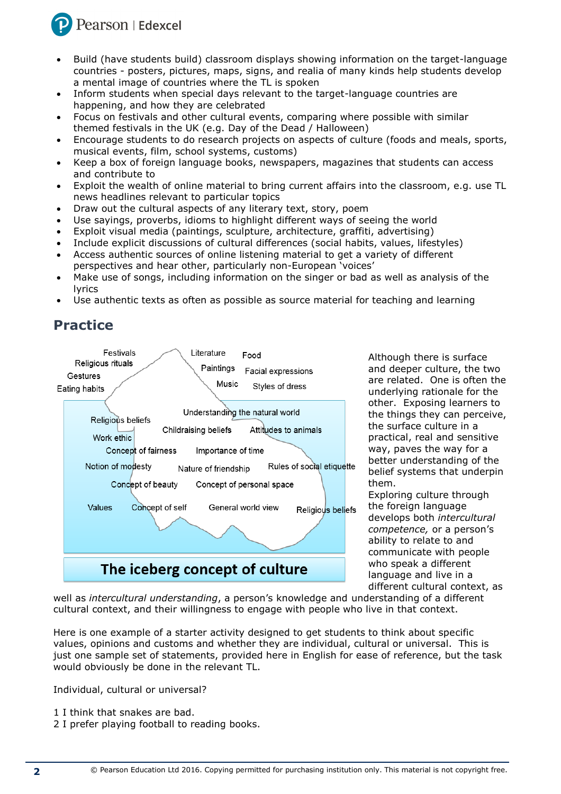

- Build (have students build) classroom displays showing information on the target-language countries - posters, pictures, maps, signs, and realia of many kinds help students develop a mental image of countries where the TL is spoken
- Inform students when special days relevant to the target-language countries are happening, and how they are celebrated
- Focus on festivals and other cultural events, comparing where possible with similar themed festivals in the UK (e.g. Day of the Dead / Halloween)
- Encourage students to do research projects on aspects of culture (foods and meals, sports, musical events, film, school systems, customs)
- Keep a box of foreign language books, newspapers, magazines that students can access and contribute to
- Exploit the wealth of online material to bring current affairs into the classroom, e.g. use TL news headlines relevant to particular topics
- Draw out the cultural aspects of any literary text, story, poem
- Use sayings, proverbs, idioms to highlight different ways of seeing the world
- Exploit visual media (paintings, sculpture, architecture, graffiti, advertising)
- Include explicit discussions of cultural differences (social habits, values, lifestyles)
- Access authentic sources of online listening material to get a variety of different perspectives and hear other, particularly non-European 'voices'
- Make use of songs, including information on the singer or bad as well as analysis of the lyrics
- Use authentic texts as often as possible as source material for teaching and learning

## **Practice**



Although there is surface and deeper culture, the two are related. One is often the underlying rationale for the other. Exposing learners to the things they can perceive, the surface culture in a practical, real and sensitive way, paves the way for a better understanding of the belief systems that underpin them.

Exploring culture through the foreign language develops both *intercultural competence,* or a person's ability to relate to and communicate with people who speak a different language and live in a different cultural context, as

well as *intercultural understanding*, a person's knowledge and understanding of a different cultural context, and their willingness to engage with people who live in that context.

Here is one example of a starter activity designed to get students to think about specific values, opinions and customs and whether they are individual, cultural or universal. This is just one sample set of statements, provided here in English for ease of reference, but the task would obviously be done in the relevant TL.

Individual, cultural or universal?

- 1 I think that snakes are bad.
- 2 I prefer playing football to reading books.